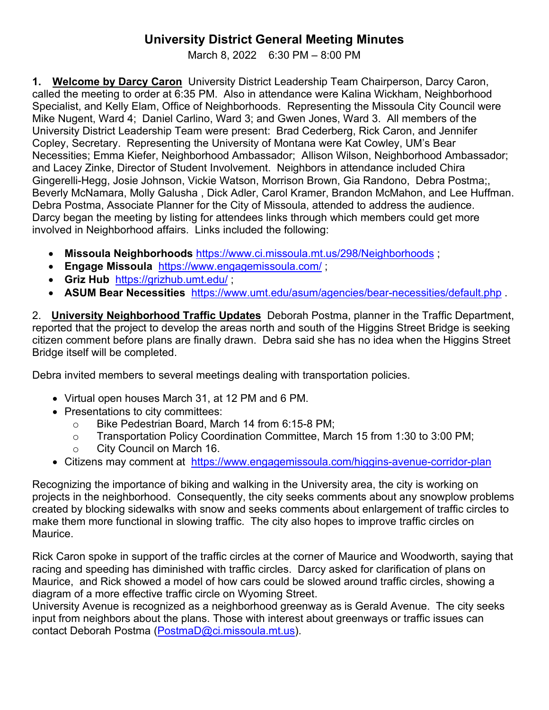## **University District General Meeting Minutes**

March 8, 2022 6:30 PM – 8:00 PM

**1. Welcome by Darcy Caron** University District Leadership Team Chairperson, Darcy Caron, called the meeting to order at 6:35 PM. Also in attendance were Kalina Wickham, Neighborhood Specialist, and Kelly Elam, Office of Neighborhoods. Representing the Missoula City Council were Mike Nugent, Ward 4; Daniel Carlino, Ward 3; and Gwen Jones, Ward 3. All members of the University District Leadership Team were present: Brad Cederberg, Rick Caron, and Jennifer Copley, Secretary. Representing the University of Montana were Kat Cowley, UM's Bear Necessities; Emma Kiefer, Neighborhood Ambassador; Allison Wilson, Neighborhood Ambassador; and Lacey Zinke, Director of Student Involvement. Neighbors in attendance included Chira Gingerelli-Hegg, Josie Johnson, Vickie Watson, Morrison Brown, Gia Randono, Debra Postma;, Beverly McNamara, Molly Galusha , Dick Adler, Carol Kramer, Brandon McMahon, and Lee Huffman. Debra Postma, Associate Planner for the City of Missoula, attended to address the audience. Darcy began the meeting by listing for attendees links through which members could get more involved in Neighborhood affairs. Links included the following:

- **Missoula Neighborhoods** <https://www.ci.missoula.mt.us/298/Neighborhoods> ;
- **Engage Missoula** <https://www.engagemissoula.com/> ;
- **Griz Hub** <https://grizhub.umt.edu/> ;
- **ASUM Bear Necessities** <https://www.umt.edu/asum/agencies/bear-necessities/default.php> .

2. **University Neighborhood Traffic Updates** Deborah Postma, planner in the Traffic Department, reported that the project to develop the areas north and south of the Higgins Street Bridge is seeking citizen comment before plans are finally drawn. Debra said she has no idea when the Higgins Street Bridge itself will be completed.

Debra invited members to several meetings dealing with transportation policies.

- Virtual open houses March 31, at 12 PM and 6 PM.
- Presentations to city committees:
	- o Bike Pedestrian Board, March 14 from 6:15-8 PM;
	- o Transportation Policy Coordination Committee, March 15 from 1:30 to 3:00 PM;
	- o City Council on March 16.
- Citizens may comment at <https://www.engagemissoula.com/higgins-avenue-corridor-plan>

Recognizing the importance of biking and walking in the University area, the city is working on projects in the neighborhood. Consequently, the city seeks comments about any snowplow problems created by blocking sidewalks with snow and seeks comments about enlargement of traffic circles to make them more functional in slowing traffic. The city also hopes to improve traffic circles on Maurice.

Rick Caron spoke in support of the traffic circles at the corner of Maurice and Woodworth, saying that racing and speeding has diminished with traffic circles. Darcy asked for clarification of plans on Maurice, and Rick showed a model of how cars could be slowed around traffic circles, showing a diagram of a more effective traffic circle on Wyoming Street.

University Avenue is recognized as a neighborhood greenway as is Gerald Avenue. The city seeks input from neighbors about the plans. Those with interest about greenways or traffic issues can contact Deborah Postma [\(PostmaD@ci.missoula.mt.us\)](mailto:PostmaD@ci.missoula.mt.us).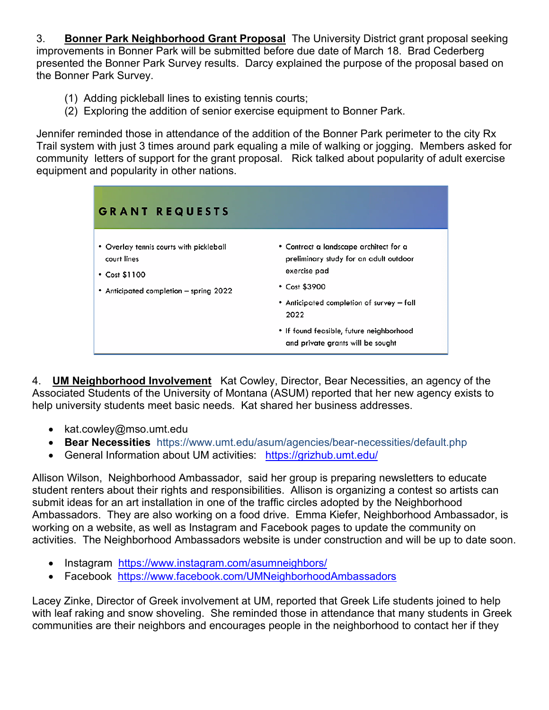3. **Bonner Park Neighborhood Grant Proposal** The University District grant proposal seeking improvements in Bonner Park will be submitted before due date of March 18. Brad Cederberg presented the Bonner Park Survey results. Darcy explained the purpose of the proposal based on the Bonner Park Survey.

- (1) Adding pickleball lines to existing tennis courts;
- (2) Exploring the addition of senior exercise equipment to Bonner Park.

Jennifer reminded those in attendance of the addition of the Bonner Park perimeter to the city Rx Trail system with just 3 times around park equaling a mile of walking or jogging. Members asked for community letters of support for the grant proposal. Rick talked about popularity of adult exercise equipment and popularity in other nations.

| <b>GRANT REQUESTS</b>                                                                                                   |                                                                                                                                                                              |
|-------------------------------------------------------------------------------------------------------------------------|------------------------------------------------------------------------------------------------------------------------------------------------------------------------------|
| • Overlay tennis courts with pickleball<br>court lines<br>$\cdot$ Cost \$1100<br>• Anticipated completion – spring 2022 | • Contract a landscape architect for a<br>preliminary study for an adult outdoor<br>exercise pad<br>$\cdot$ Cost \$3900<br>• Anticipated completion of survey – fall<br>2022 |
|                                                                                                                         | • If found feasible, future neighborhood<br>and private grants will be sought                                                                                                |

4. **UM Neighborhood Involvement** Kat Cowley, Director, Bear Necessities, an agency of the Associated Students of the University of Montana (ASUM) reported that her new agency exists to help university students meet basic needs. Kat shared her business addresses.

- kat.cowley@mso.umt.edu
- **Bear Necessities** https://www.umt.edu/asum/agencies/bear-necessities/default.php
- General Information about UM activities: <https://grizhub.umt.edu/>

Allison Wilson, Neighborhood Ambassador, said her group is preparing newsletters to educate student renters about their rights and responsibilities. Allison is organizing a contest so artists can submit ideas for an art installation in one of the traffic circles adopted by the Neighborhood Ambassadors. They are also working on a food drive. Emma Kiefer, Neighborhood Ambassador, is working on a website, as well as Instagram and Facebook pages to update the community on activities. The Neighborhood Ambassadors website is under construction and will be up to date soon.

- Instagram <https://www.instagram.com/asumneighbors/>
- Facebook <https://www.facebook.com/UMNeighborhoodAmbassadors>

Lacey Zinke, Director of Greek involvement at UM, reported that Greek Life students joined to help with leaf raking and snow shoveling. She reminded those in attendance that many students in Greek communities are their neighbors and encourages people in the neighborhood to contact her if they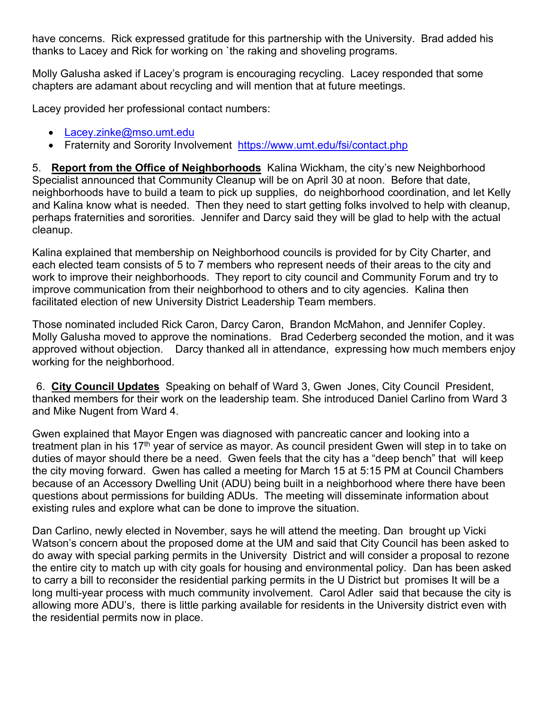have concerns. Rick expressed gratitude for this partnership with the University. Brad added his thanks to Lacey and Rick for working on `the raking and shoveling programs.

Molly Galusha asked if Lacey's program is encouraging recycling. Lacey responded that some chapters are adamant about recycling and will mention that at future meetings.

Lacey provided her professional contact numbers:

- [Lacey.zinke@mso.umt.edu](mailto:Lacey.zinke@mso.umt.edu)
- Fraternity and Sorority Involvement <https://www.umt.edu/fsi/contact.php>

5. **Report from the Office of Neighborhoods** Kalina Wickham, the city's new Neighborhood Specialist announced that Community Cleanup will be on April 30 at noon. Before that date, neighborhoods have to build a team to pick up supplies, do neighborhood coordination, and let Kelly and Kalina know what is needed. Then they need to start getting folks involved to help with cleanup, perhaps fraternities and sororities. Jennifer and Darcy said they will be glad to help with the actual cleanup.

Kalina explained that membership on Neighborhood councils is provided for by City Charter, and each elected team consists of 5 to 7 members who represent needs of their areas to the city and work to improve their neighborhoods. They report to city council and Community Forum and try to improve communication from their neighborhood to others and to city agencies. Kalina then facilitated election of new University District Leadership Team members.

Those nominated included Rick Caron, Darcy Caron, Brandon McMahon, and Jennifer Copley. Molly Galusha moved to approve the nominations. Brad Cederberg seconded the motion, and it was approved without objection. Darcy thanked all in attendance, expressing how much members enjoy working for the neighborhood.

6. **City Council Updates** Speaking on behalf of Ward 3, Gwen Jones, City Council President, thanked members for their work on the leadership team. She introduced Daniel Carlino from Ward 3 and Mike Nugent from Ward 4.

Gwen explained that Mayor Engen was diagnosed with pancreatic cancer and looking into a treatment plan in his 17<sup>th</sup> year of service as mayor. As council president Gwen will step in to take on duties of mayor should there be a need. Gwen feels that the city has a "deep bench" that will keep the city moving forward. Gwen has called a meeting for March 15 at 5:15 PM at Council Chambers because of an Accessory Dwelling Unit (ADU) being built in a neighborhood where there have been questions about permissions for building ADUs. The meeting will disseminate information about existing rules and explore what can be done to improve the situation.

Dan Carlino, newly elected in November, says he will attend the meeting. Dan brought up Vicki Watson's concern about the proposed dome at the UM and said that City Council has been asked to do away with special parking permits in the University District and will consider a proposal to rezone the entire city to match up with city goals for housing and environmental policy. Dan has been asked to carry a bill to reconsider the residential parking permits in the U District but promises It will be a long multi-year process with much community involvement. Carol Adler said that because the city is allowing more ADU's, there is little parking available for residents in the University district even with the residential permits now in place.